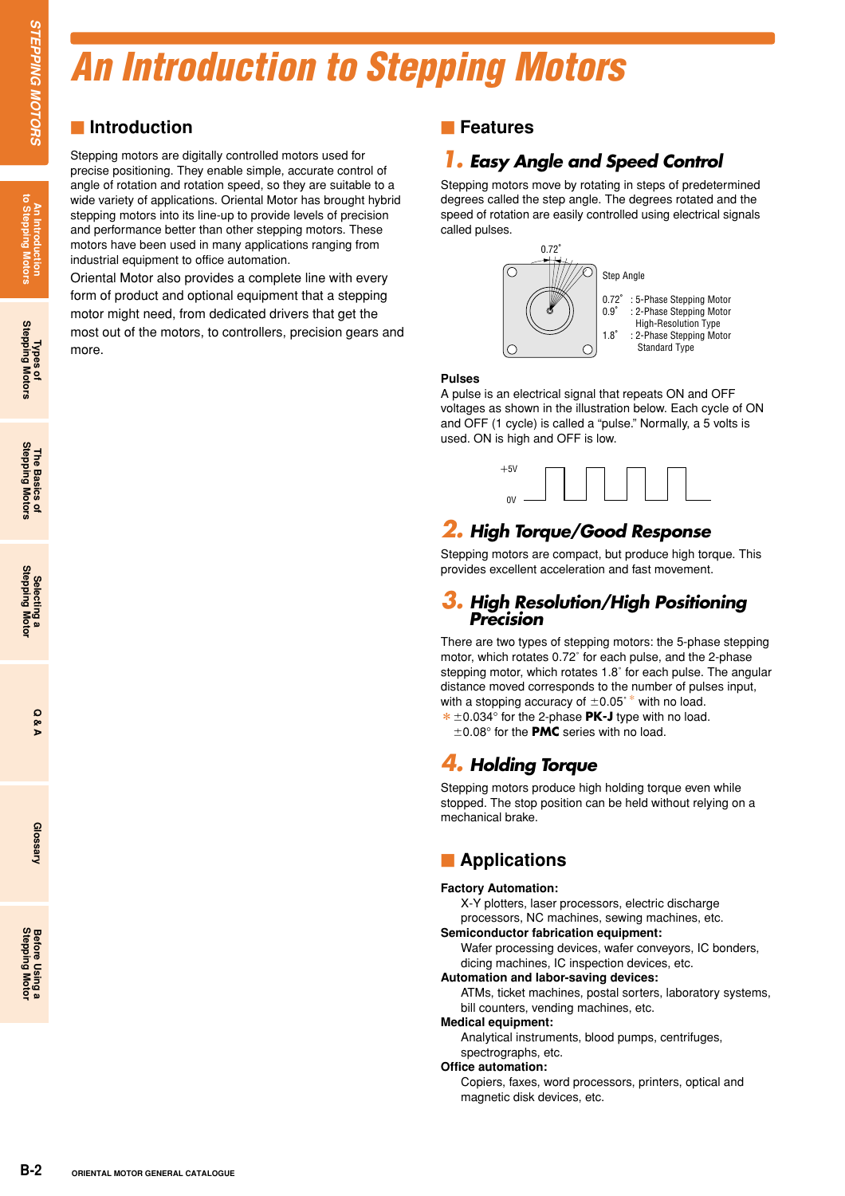### *An Introduction to Stepping Motors*

### $\blacksquare$  Introduction

Stepping motors are digitally cross periodion They enable of rotation and rotation and rotation and rotation and rotation and pricorial and performance better than of industrial equipment to office a motors have been used Stepping motors are digitally controlled motors used for precise positioning. They enable simple, accurate control of angle of rotation and rotation speed, so they are suitable to a wide variety of applications. Oriental Motor has brought hybrid stepping motors into its line-up to provide levels of precision and performance better than other stepping motors. These motors have been used in many applications ranging from industrial equipment to office automation.

Oriental Motor also provides a complete line with every form of product and optional equipment that a stepping motor might need, from dedicated drivers that get the most out of the motors, to controllers, precision gears and more.

### **Features**

### *1. Easy Angle and Speed Control*

Stepping motors move by rotating in steps of predetermined degrees called the step angle. The degrees rotated and the speed of rotation are easily controlled using electrical signals called pulses.



### **Pulses**

A pulse is an electrical signal that repeats ON and OFF voltages as shown in the illustration below. Each cycle of ON and OFF (1 cycle) is called a "pulse." Normally, a 5 volts is used. ON is high and OFF is low.



### *2. High Torque/Good Response*

Stepping motors are compact, but produce high torque. This provides excellent acceleration and fast movement.

### *3. High Resolution/High Positioning Precision*

There are two types of stepping motors: the 5-phase stepping motor, which rotates 0.72˚ for each pulse, and the 2-phase stepping motor, which rotates 1.8˚ for each pulse. The angular distance moved corresponds to the number of pulses input, with a stopping accuracy of  $\pm$ 0.05°\* with no load. \* ±0.034° for the 2-phase **PK-J** type with no load.

 $\pm$ 0.08 $^{\circ}$  for the **PMC** series with no load.

### *4. Holding Torque*

Stepping motors produce high holding torque even while stopped. The stop position can be held without relying on a mechanical brake.

### **Examplications**

### **Factory Automation:**

X-Y plotters, laser processors, electric discharge processors, NC machines, sewing machines, etc.

#### **Semiconductor fabrication equipment:**

Wafer processing devices, wafer conveyors, IC bonders, dicing machines, IC inspection devices, etc.

### **Automation and labor-saving devices:**

ATMs, ticket machines, postal sorters, laboratory systems, bill counters, vending machines, etc.

#### **Medical equipment:**

Analytical instruments, blood pumps, centrifuges, spectrographs, etc.

#### **Office automation:**

Copiers, faxes, word processors, printers, optical and magnetic disk devices, etc.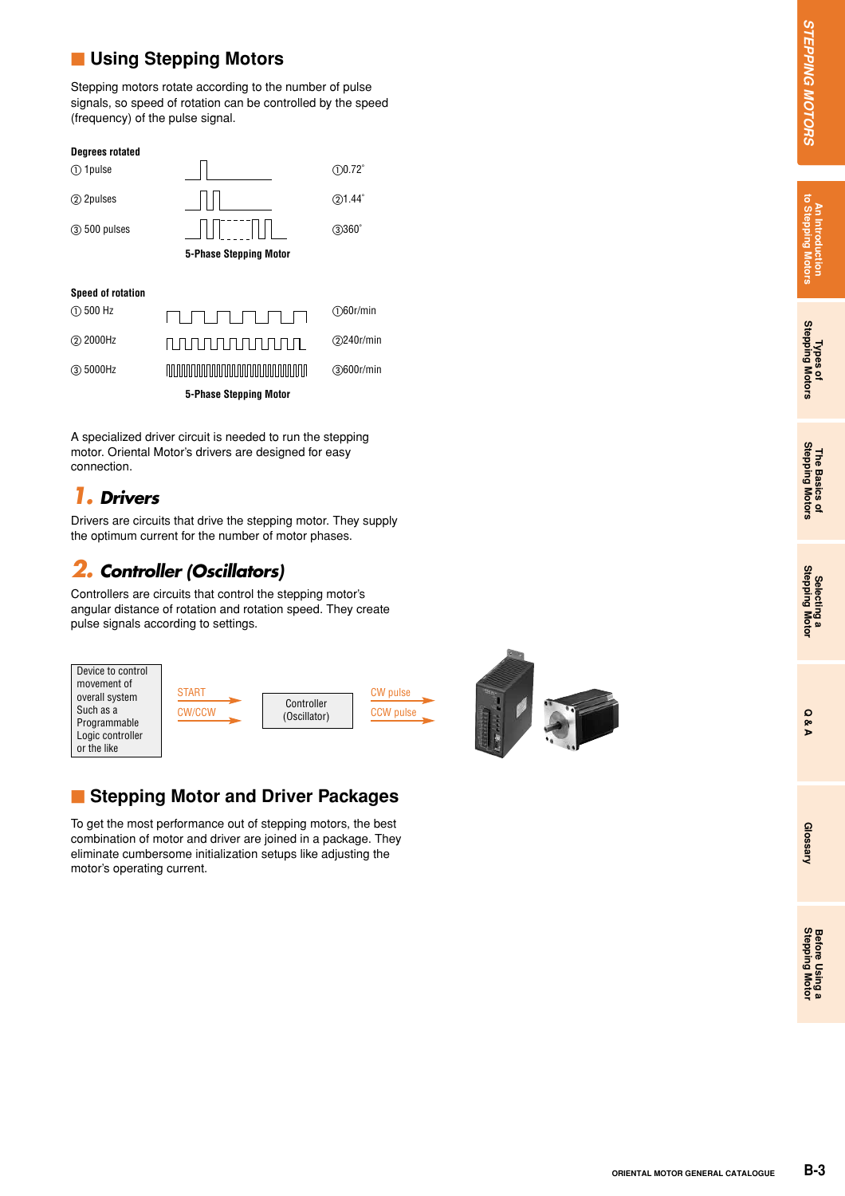### **Lacking Stepping Motors**

Stepping motors rotate according to the number of pulse signals, so speed of rotation can be controlled by the speed (frequency) of the pulse signal.

## **ORIGINAL MOTOR MOTOR MOTOR SCIENCISE**<br>
THE SUCH CATALOGUE OF CATALOGUE CATALOGUE CATALOGUE CATALOGUE CATALOGUE CATALOGUE CATALOGUE CATALOGUE CATALOGUE CATALOGUE CATALOGUE CATALOGUE CATALOGUE CATALOGUE CATALOGUE CATALOGUE **Degrees rotated** - 1pulse - $(1)0.72$ <sup>°</sup>  $\boxed{\Box}$  2pulses  $\boxed{\Box}$  (2) 1.44<sup>°</sup>  $(3)$  500 pulses  $||||$   $||$   $||$   $||$   $||$   $||$   $(3)$  360 $^{\circ}$ **5-Phase Stepping Motor Speed of rotation**  $(D)$  500 Hz <u>nununun</u> 60r/min 2000Hz 240r/min 5000Hz 600r/min **5-Phase Stepping Motor**

A specialized driver circuit is needed to run the stepping motor. Oriental Motor's drivers are designed for easy connection.

### *1. Drivers*

Drivers are circuits that drive the stepping motor. They supply the optimum current for the number of motor phases.

### *2. Controller (Oscillators)*

Controllers are circuits that control the stepping motor's angular distance of rotation and rotation speed. They create pulse signals according to settings.



### **E** Stepping Motor and Driver Packages

To get the most performance out of stepping motors, the best combination of motor and driver are joined in a package. They eliminate cumbersome initialization setups like adjusting the motor's operating current.



### *STEPPING<u>STEPPING</u> MOTORS MOTORS*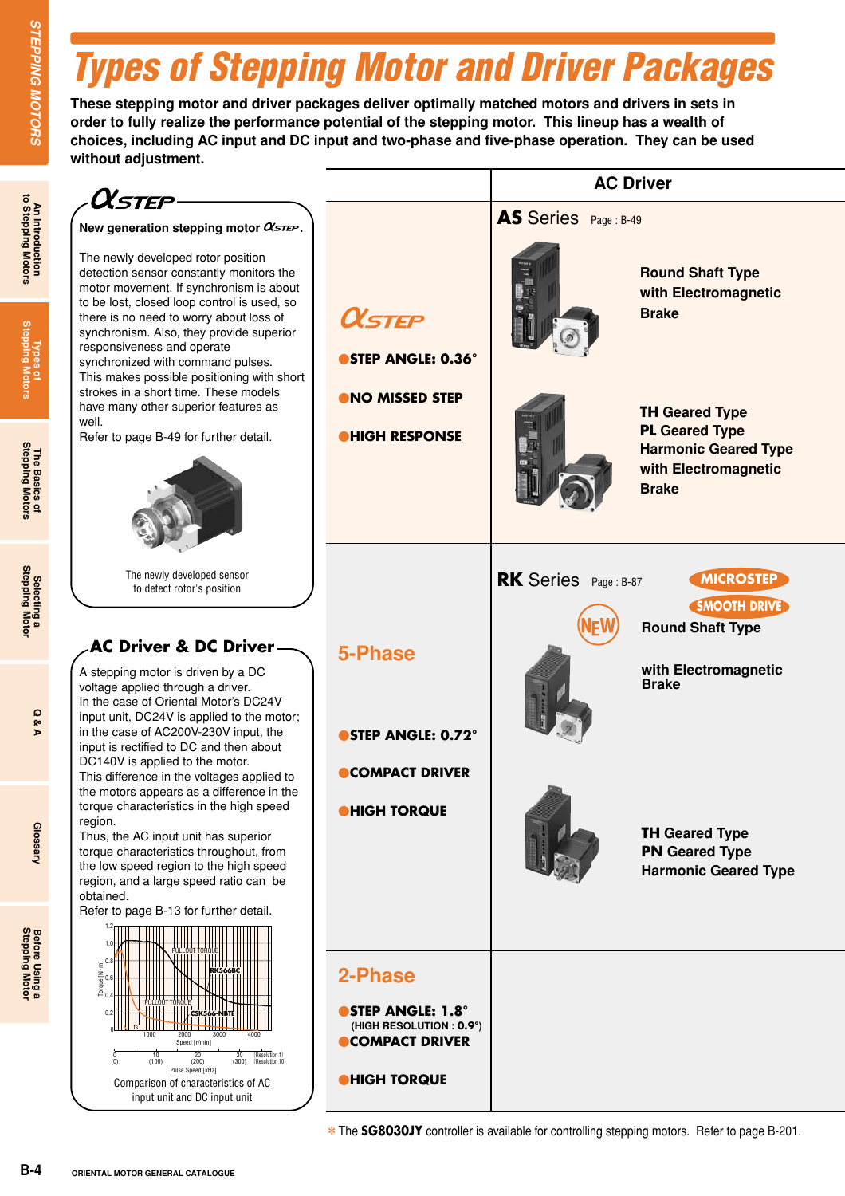### *Types of Stepping Motor and Driver Packages*

**These stepping motor and driver packages deliver optimally matched motors and drivers in sets in order to fully realize the performance potential of the stepping motor. This lineup has a wealth of choices, including AC input and DC input and two-phase and five-phase operation. They can be used without adjustment.**



**An Introduction to Stepping Motors**

**Glossary**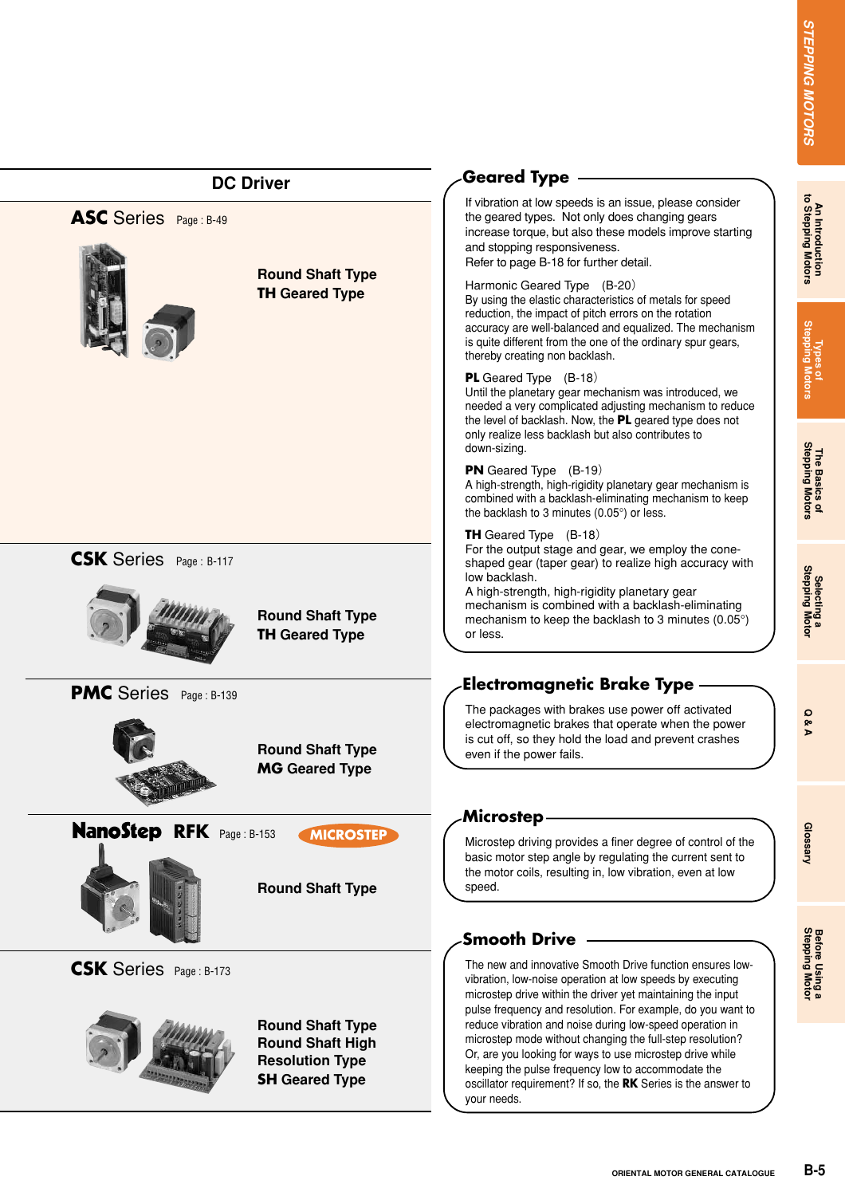|                                 | <b>DC Driver</b>                                                                                      | <b>Geared Type</b>                                                                                                                                                                                                                                                                                                                     |                                       |
|---------------------------------|-------------------------------------------------------------------------------------------------------|----------------------------------------------------------------------------------------------------------------------------------------------------------------------------------------------------------------------------------------------------------------------------------------------------------------------------------------|---------------------------------------|
| ASC Series Page: B-49           |                                                                                                       | If vibration at low speeds is an issue, please consider<br>the geared types. Not only does changing gears<br>increase torque, but also these models improve starting<br>and stopping responsiveness.<br>Refer to page B-18 for further detail.                                                                                         | An Introduction<br>to Stepping Motors |
|                                 | <b>Round Shaft Type</b><br><b>TH Geared Type</b>                                                      | Harmonic Geared Type (B-20)<br>By using the elastic characteristics of metals for speed<br>reduction, the impact of pitch errors on the rotation<br>accuracy are well-balanced and equalized. The mechanism<br>is quite different from the one of the ordinary spur gears,<br>thereby creating non backlash.                           | Types of<br>Stepping Motors           |
|                                 |                                                                                                       | <b>PL</b> Geared Type (B-18)<br>Until the planetary gear mechanism was introduced, we<br>needed a very complicated adjusting mechanism to reduce<br>the level of backlash. Now, the PL geared type does not<br>only realize less backlash but also contributes to<br>down-sizing.                                                      |                                       |
|                                 |                                                                                                       | <b>PN</b> Geared Type (B-19)<br>A high-strength, high-rigidity planetary gear mechanism is<br>combined with a backlash-eliminating mechanism to keep<br>the backlash to 3 minutes (0.05°) or less.                                                                                                                                     | The Basics of<br>Stepping Motors      |
| <b>CSK</b> Series Page: B-117   | <b>Round Shaft Type</b><br><b>TH Geared Type</b>                                                      | <b>TH</b> Geared Type (B-18)<br>For the output stage and gear, we employ the cone-<br>shaped gear (taper gear) to realize high accuracy with<br>low backlash.<br>A high-strength, high-rigidity planetary gear<br>mechanism is combined with a backlash-eliminating<br>mechanism to keep the backlash to 3 minutes (0.05°)<br>or less. | Selecting a<br>Stepping Motor         |
| <b>PMC</b> Series Page: B-139   | <b>Round Shaft Type</b><br><b>MG</b> Geared Type                                                      | <b>Electromagnetic Brake Type</b><br>The packages with brakes use power off activated<br>electromagnetic brakes that operate when the power<br>is cut off, so they hold the load and prevent crashes<br>even if the power fails.                                                                                                       | O<br>ନ୍ତ<br>Þ                         |
| <b>NanoStep RFK</b> Page: B-153 | <b>MICROSTEP</b><br><b>Round Shaft Type</b>                                                           | <b>Microstep</b><br>Microstep driving provides a finer degree of control of the<br>basic motor step angle by regulating the current sent to<br>the motor coils, resulting in, low vibration, even at low<br>speed.                                                                                                                     | Glossary                              |
| <b>CSK</b> Series Page: B-173   |                                                                                                       | <b>Smooth Drive</b><br>The new and innovative Smooth Drive function ensures low-<br>vibration, low-noise operation at low speeds by executing<br>microstep drive within the driver yet maintaining the input<br>pulse frequency and resolution. For example, do you want to                                                            | Before Using a<br>Stepping Motor      |
|                                 | <b>Round Shaft Type</b><br><b>Round Shaft High</b><br><b>Resolution Type</b><br><b>SH Geared Type</b> | reduce vibration and noise during low-speed operation in<br>microstep mode without changing the full-step resolution?<br>Or, are you looking for ways to use microstep drive while<br>keeping the pulse frequency low to accommodate the<br>oscillator requirement? If so, the RK Series is the answer to<br>your needs.               |                                       |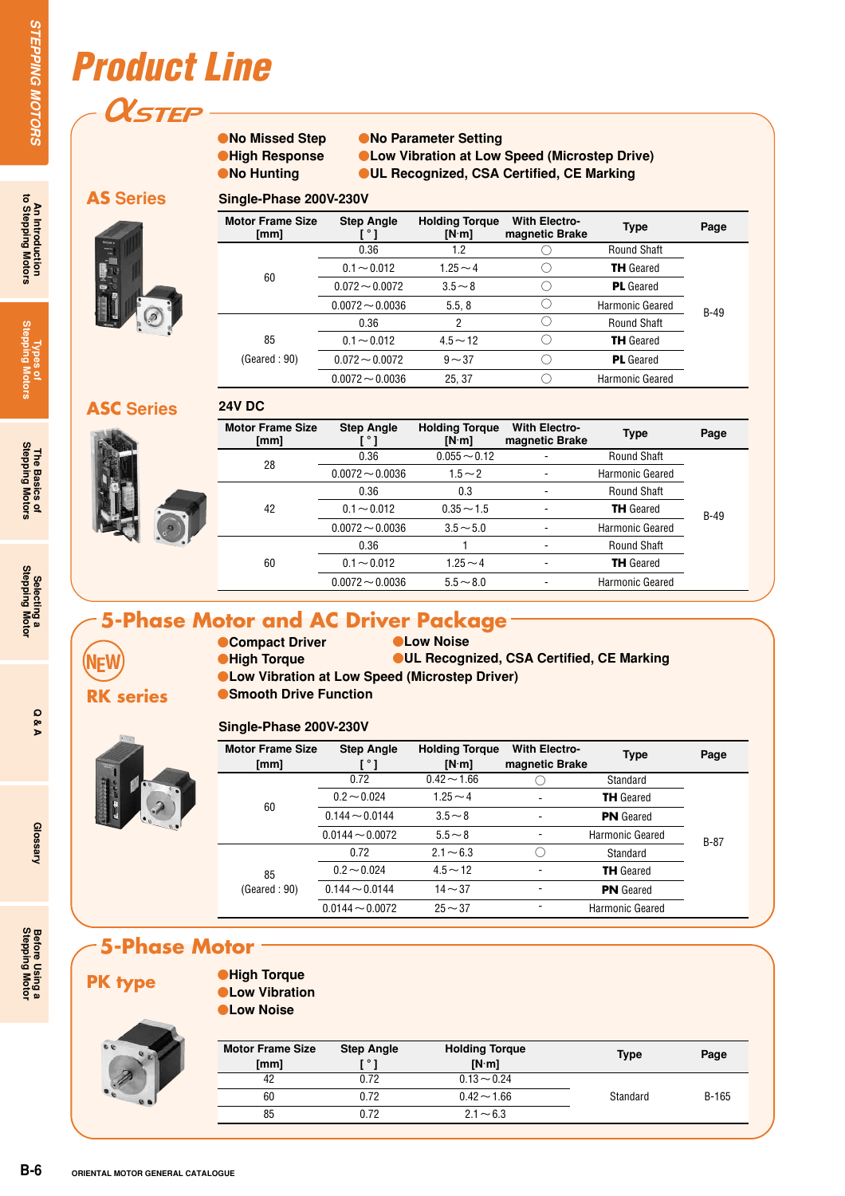### *Product Line*

**OLSTEP** 

### **No Missed Step High Response No Hunting**

**24V DC**

**Single-Phase 200V-230V**

**•No Parameter Setting Low Vibration at Low Speed (Microstep Drive) UL Recognized, CSA Certified, CE Marking**

### **AS Series**



| Motor Frame Size<br>[mm] | <b>Step Angle</b> | <b>Holding Torgue</b><br>[N·m] | <b>With Electro-</b><br>magnetic Brake | Type               | Page   |
|--------------------------|-------------------|--------------------------------|----------------------------------------|--------------------|--------|
|                          | 0.36              | 1.2                            |                                        | <b>Round Shaft</b> |        |
|                          | $0.1 - 0.012$     | $1.25 - 4$                     |                                        | <b>TH</b> Geared   |        |
| 60                       | $0.072 - 0.0072$  | $3.5 - 8$                      |                                        | <b>PL</b> Geared   |        |
|                          | $0.0072 - 0.0036$ | 5.5, 8                         |                                        | Harmonic Geared    | $B-49$ |
|                          | 0.36              | 2                              |                                        | <b>Round Shaft</b> |        |
| 85                       | $0.1 - 0.012$     | $4.5 \sim 12$                  |                                        | <b>TH</b> Geared   |        |
| (Geared : 90)            | $0.072 - 0.0072$  | $9 - 37$                       |                                        | <b>PL</b> Geared   |        |
|                          | $0.0072 - 0.0036$ | 25, 37                         |                                        | Harmonic Geared    |        |

### **ASC Series**



**RK series**

**NFW** 

| <b>Motor Frame Size</b><br>[mm] | <b>Step Angle</b><br>$^{\circ}$ 1 | <b>Holding Torque</b><br>[N·m] | <b>With Electro-</b><br>magnetic Brake | <b>Type</b>        | Page   |
|---------------------------------|-----------------------------------|--------------------------------|----------------------------------------|--------------------|--------|
| 28                              | 0.36                              | $0.055 - 0.12$                 |                                        | <b>Round Shaft</b> |        |
|                                 | $0.0072 - 0.0036$                 | $1.5 - 2$                      |                                        | Harmonic Geared    |        |
| 42                              | 0.36                              | 0.3                            |                                        | <b>Round Shaft</b> |        |
|                                 | $0.1 - 0.012$                     | $0.35 - 1.5$                   |                                        | <b>TH</b> Geared   | $B-49$ |
|                                 | $0.0072 - 0.0036$                 | $3.5 - 5.0$                    |                                        | Harmonic Geared    |        |
| 60                              | 0.36                              |                                |                                        | <b>Round Shaft</b> |        |
|                                 | $0.1 - 0.012$                     | $1.25 \sim 4$                  | -                                      | <b>TH</b> Geared   |        |
|                                 | $0.0072 - 0.0036$                 | $5.5 - 8.0$                    |                                        | Harmonic Geared    |        |

### **5-Phase Motor and AC Driver Package**

### **Compact Driver High Torque**

### **CLow Noise UL Recognized, CSA Certified, CE Marking**

- **Low Vibration at Low Speed (Microstep Driver)**
- **Smooth Drive Function**

### **Single-Phase 200V-230V**

| <b>Motor Frame Size</b><br>[mm] | <b>Step Angle</b><br>ا ° ا | <b>Holding Torque</b><br>[N·m] | <b>With Electro-</b><br>magnetic Brake | <b>Type</b>      | Page   |
|---------------------------------|----------------------------|--------------------------------|----------------------------------------|------------------|--------|
|                                 | 0.72                       | $0.42 \sim 1.66$               |                                        | Standard         |        |
|                                 | $0.2 - 0.024$              | $1.25 - 4$                     |                                        | <b>TH</b> Geared |        |
| 60                              | $0.144 \sim 0.0144$        | $3.5 \sim 8$                   |                                        | <b>PN</b> Geared |        |
|                                 | $0.0144 - 0.0072$          | $5.5 - 8$                      |                                        | Harmonic Geared  | $B-87$ |
|                                 | 0.72                       | $2.1 - 6.3$                    |                                        | Standard         |        |
| 85                              | $0.2 - 0.024$              | $4.5 \sim 12$                  |                                        | <b>TH</b> Geared |        |
| (Geared:90)                     | $0.144 \sim 0.0144$        | $14 - 37$                      |                                        | <b>PN</b> Geared |        |
|                                 | $0.0144 - 0.0072$          | $25 - 37$                      |                                        | Harmonic Geared  |        |

### **5-Phase Motor**

### **PK type**

 $\overline{e}$   $\overline{e}$ 

**High Torque Low Vibration Low Noise**

| <b>Motor Frame Size</b><br>[mm] | <b>Step Angle</b><br>г∘т | <b>Holding Torque</b><br>[N·m] | Type     | Page  |
|---------------------------------|--------------------------|--------------------------------|----------|-------|
| 42                              | 0.72                     | $0.13 - 0.24$                  |          |       |
| 60                              | 0.72                     | $0.42 \sim 1.66$               | Standard | B-165 |
| 85                              | 0.72                     | $2.1 - 6.3$                    |          |       |

Glossary